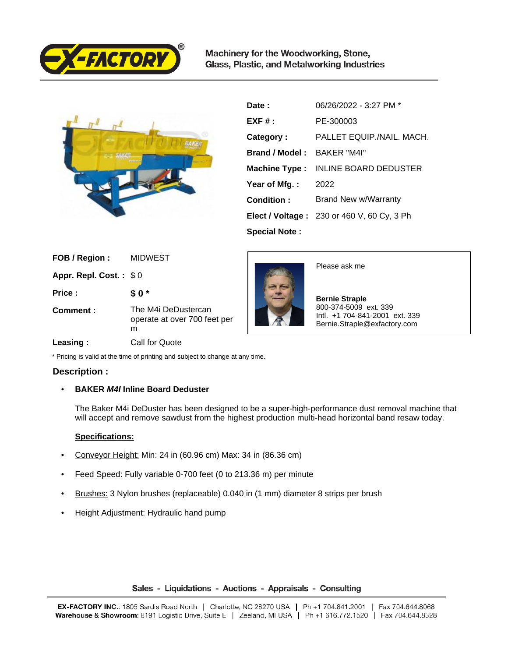

Machinery for the Woodworking, Stone, Glass, Plastic, and Metalworking Industries



| Date:                | 06/26/2022 - 3:27 PM *                            |
|----------------------|---------------------------------------------------|
| $EXF#$ :             | PE-300003                                         |
| Category:            | PALLET EQUIP./NAIL. MACH.                         |
| Brand / Model:       | BAKER "M4I"                                       |
| <b>Machine Type:</b> | <b>INLINE BOARD DEDUSTER</b>                      |
| Year of Mfg.:        | 2022                                              |
| Condition:           | Brand New w/Warranty                              |
|                      | <b>Elect / Voltage: 230 or 460 V, 60 Cy, 3 Ph</b> |
| <b>Special Note:</b> |                                                   |

| FOB / Region :         | <b>MIDWEST</b>                                           |
|------------------------|----------------------------------------------------------|
| Appr. Repl. Cost.: \$0 |                                                          |
| Price:                 | \$0*                                                     |
| Comment:               | The M4i DeDustercan<br>operate at over 700 feet per<br>m |
|                        |                                                          |



Please ask me

 **Bernie Straple** 800-374-5009 ext. 339 Intl. +1 704-841-2001 ext. 339 Bernie.Straple@exfactory.com

### **Leasing :** Call for Quote

\* Pricing is valid at the time of printing and subject to change at any time.

# **Description :**

## • **BAKER M4I Inline Board Deduster**

The Baker M4i DeDuster has been designed to be a super-high-performance dust removal machine that will accept and remove sawdust from the highest production multi-head horizontal band resaw today.

## **Specifications:**

- Conveyor Height: Min: 24 in (60.96 cm) Max: 34 in (86.36 cm)
- Feed Speed: Fully variable 0-700 feet (0 to 213.36 m) per minute
- Brushes: 3 Nylon brushes (replaceable) 0.040 in (1 mm) diameter 8 strips per brush
- Height Adjustment: Hydraulic hand pump

## Sales - Liquidations - Auctions - Appraisals - Consulting